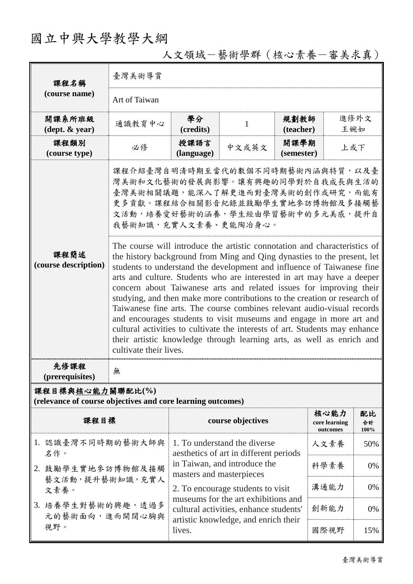## 國立中興大學教學大綱

| 課程名稱<br>(course name)                                                           | 臺灣美術導賞                                                                                                                                                                                                                                                                                                                                                                                                                                                                                                                                                                                                                                                                                                                                                                                                                                                                                                                                                                                                      |                                                                                                                       |                   |                    |                                   |                  |  |  |
|---------------------------------------------------------------------------------|-------------------------------------------------------------------------------------------------------------------------------------------------------------------------------------------------------------------------------------------------------------------------------------------------------------------------------------------------------------------------------------------------------------------------------------------------------------------------------------------------------------------------------------------------------------------------------------------------------------------------------------------------------------------------------------------------------------------------------------------------------------------------------------------------------------------------------------------------------------------------------------------------------------------------------------------------------------------------------------------------------------|-----------------------------------------------------------------------------------------------------------------------|-------------------|--------------------|-----------------------------------|------------------|--|--|
|                                                                                 | Art of Taiwan                                                                                                                                                                                                                                                                                                                                                                                                                                                                                                                                                                                                                                                                                                                                                                                                                                                                                                                                                                                               |                                                                                                                       |                   |                    |                                   |                  |  |  |
| 開課系所班級<br>$(\text{dept.} \& \text{ year})$                                      | 通識教育中心                                                                                                                                                                                                                                                                                                                                                                                                                                                                                                                                                                                                                                                                                                                                                                                                                                                                                                                                                                                                      | 學分<br>(credits)                                                                                                       | $\mathbf{1}$      | 規劃教師<br>(teacher)  | 王婉如                               | 進修外文             |  |  |
| 課程類別<br>(course type)                                                           | 必修                                                                                                                                                                                                                                                                                                                                                                                                                                                                                                                                                                                                                                                                                                                                                                                                                                                                                                                                                                                                          | 授課語言<br>(language)                                                                                                    | 中文或英文             | 開課學期<br>(semester) | 上或下                               |                  |  |  |
| 課程簡述<br>(course description)                                                    | 課程介紹臺灣自明清時期至當代的數個不同時期藝術內涵與特質,以及臺<br>灣美術和文化藝術的發展與影響。讓有興趣的同學對於自我成長與生活的<br>臺灣美術相關議題,能深入了解更進而對臺灣美術的創作或研究,而能有<br>更多貢獻。課程結合相關影音紀錄並鼓勵學生實地參訪博物館及多接觸藝<br>文活動,培養愛好藝術的涵養,學生經由學習藝術中的多元美感,提升自<br>我藝術知識,充實人文素養、更能陶冶身心。<br>The course will introduce the artistic connotation and characteristics of<br>the history background from Ming and Qing dynasties to the present, let<br>students to understand the development and influence of Taiwanese fine<br>arts and culture. Students who are interested in art may have a deeper<br>concern about Taiwanese arts and related issues for improving their<br>studying, and then make more contributions to the creation or research of<br>Taiwanese fine arts. The course combines relevant audio-visual records<br>and encourages students to visit museums and engage in more art and<br>cultural activities to cultivate the interests of art. Students may enhance<br>their artistic knowledge through learning arts, as well as enrich and<br>cultivate their lives. |                                                                                                                       |                   |                    |                                   |                  |  |  |
| 先修課程<br>(prerequisites)                                                         | 無                                                                                                                                                                                                                                                                                                                                                                                                                                                                                                                                                                                                                                                                                                                                                                                                                                                                                                                                                                                                           |                                                                                                                       |                   |                    |                                   |                  |  |  |
| 課程目標與核心能力關聯配比(%)<br>(relevance of course objectives and core learning outcomes) |                                                                                                                                                                                                                                                                                                                                                                                                                                                                                                                                                                                                                                                                                                                                                                                                                                                                                                                                                                                                             |                                                                                                                       |                   |                    |                                   |                  |  |  |
| 課程目標                                                                            |                                                                                                                                                                                                                                                                                                                                                                                                                                                                                                                                                                                                                                                                                                                                                                                                                                                                                                                                                                                                             |                                                                                                                       | course objectives |                    | 核心能力<br>core learning<br>outcomes | 配比<br>合計<br>100% |  |  |
| 1. 認識臺灣不同時期的藝術大師與<br>名作。<br>2. 鼓勵學生實地參訪博物館及接觸<br>藝文活動,提升藝術知識,充實人<br>文素養。        |                                                                                                                                                                                                                                                                                                                                                                                                                                                                                                                                                                                                                                                                                                                                                                                                                                                                                                                                                                                                             | 1. To understand the diverse<br>aesthetics of art in different periods                                                |                   |                    | 人文素養                              | 50%              |  |  |
|                                                                                 |                                                                                                                                                                                                                                                                                                                                                                                                                                                                                                                                                                                                                                                                                                                                                                                                                                                                                                                                                                                                             | in Taiwan, and introduce the<br>masters and masterpieces                                                              |                   | 科學素養               | 0%                                |                  |  |  |
|                                                                                 |                                                                                                                                                                                                                                                                                                                                                                                                                                                                                                                                                                                                                                                                                                                                                                                                                                                                                                                                                                                                             | 2. To encourage students to visit                                                                                     |                   | 溝通能力               | 0%                                |                  |  |  |
| 3. 培養學生對藝術的興趣,透過多<br>元的藝術面向,進而開闊心胸與                                             |                                                                                                                                                                                                                                                                                                                                                                                                                                                                                                                                                                                                                                                                                                                                                                                                                                                                                                                                                                                                             | museums for the art exhibitions and<br>cultural activities, enhance students'<br>artistic knowledge, and enrich their |                   |                    | 創新能力                              | 0%               |  |  |
| 視野。                                                                             |                                                                                                                                                                                                                                                                                                                                                                                                                                                                                                                                                                                                                                                                                                                                                                                                                                                                                                                                                                                                             | lives.                                                                                                                |                   |                    | 國際視野                              | 15%              |  |  |

人文領域-藝術學群(核心素養-審美求真)